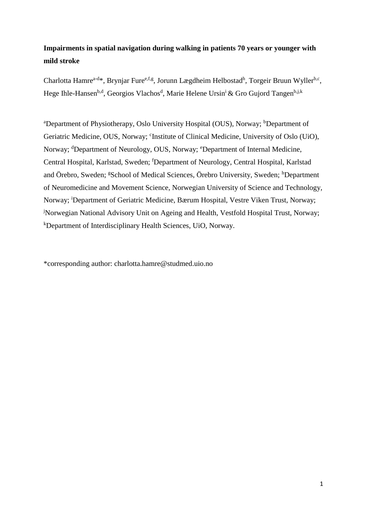# **Impairments in spatial navigation during walking in patients 70 years or younger with mild stroke**

Charlotta Hamre<sup>a-d\*</sup>, Brynjar Fure<sup>e, f, g</sup>, Jorunn Lægdheim Helbostad<sup>h</sup>, Torgeir Bruun Wyller<sup>b, c</sup>, Hege Ihle-Hansen<sup>b,d</sup>, Georgios Vlachos<sup>d</sup>, Marie Helene Ursin<sup>i</sup> & Gro Gujord Tangen<sup>b,j,k</sup>

<sup>a</sup>Department of Physiotherapy, Oslo University Hospital (OUS), Norway; <sup>b</sup>Department of Geriatric Medicine, OUS, Norway; 'Institute of Clinical Medicine, University of Oslo (UiO), Norway; <sup>d</sup>Department of Neurology, OUS, Norway; <sup>e</sup>Department of Internal Medicine, Central Hospital, Karlstad, Sweden; <sup>f</sup>Department of Neurology, Central Hospital, Karlstad and Örebro, Sweden; <sup>g</sup>School of Medical Sciences, Örebro University, Sweden; <sup>h</sup>Department of Neuromedicine and Movement Science, Norwegian University of Science and Technology, Norway; <sup>i</sup>Department of Geriatric Medicine, Bærum Hospital, Vestre Viken Trust, Norway; <sup>j</sup>Norwegian National Advisory Unit on Ageing and Health, Vestfold Hospital Trust, Norway; <sup>k</sup>Department of Interdisciplinary Health Sciences, UiO, Norway.

\*corresponding author: charlotta.hamre@studmed.uio.no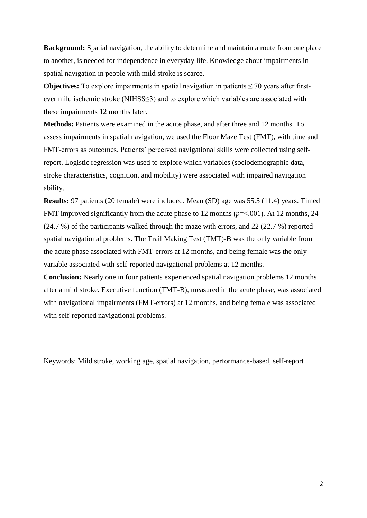**Background:** Spatial navigation, the ability to determine and maintain a route from one place to another, is needed for independence in everyday life. Knowledge about impairments in spatial navigation in people with mild stroke is scarce.

**Objectives:** To explore impairments in spatial navigation in patients  $\leq$  70 years after firstever mild ischemic stroke (NIHSS≤3) and to explore which variables are associated with these impairments 12 months later.

**Methods:** Patients were examined in the acute phase, and after three and 12 months. To assess impairments in spatial navigation, we used the Floor Maze Test (FMT), with time and FMT-errors as outcomes. Patients' perceived navigational skills were collected using selfreport. Logistic regression was used to explore which variables (sociodemographic data, stroke characteristics, cognition, and mobility) were associated with impaired navigation ability.

**Results:** 97 patients (20 female) were included. Mean (SD) age was 55.5 (11.4) years. Timed FMT improved significantly from the acute phase to 12 months (*p*=<.001). At 12 months, 24 (24.7 %) of the participants walked through the maze with errors, and 22 (22.7 %) reported spatial navigational problems. The Trail Making Test (TMT)-B was the only variable from the acute phase associated with FMT-errors at 12 months, and being female was the only variable associated with self-reported navigational problems at 12 months.

**Conclusion:** Nearly one in four patients experienced spatial navigation problems 12 months after a mild stroke. Executive function (TMT-B), measured in the acute phase, was associated with navigational impairments (FMT-errors) at 12 months, and being female was associated with self-reported navigational problems.

Keywords: Mild stroke, working age, spatial navigation, performance-based, self-report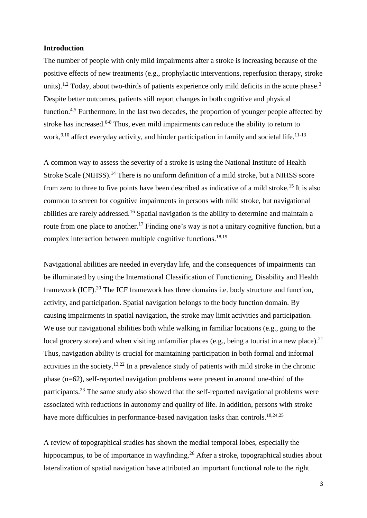# **Introduction**

The number of people with only mild impairments after a stroke is increasing because of the positive effects of new treatments (e.g., prophylactic interventions, reperfusion therapy, stroke units).<sup>1,2</sup> Today, about two-thirds of patients experience only mild deficits in the acute phase.<sup>3</sup> Despite better outcomes, patients still report changes in both cognitive and physical function.4,5 Furthermore, in the last two decades, the proportion of younger people affected by stroke has increased.<sup>6-8</sup> Thus, even mild impairments can reduce the ability to return to work,<sup>9,10</sup> affect everyday activity, and hinder participation in family and societal life.<sup>11-13</sup>

A common way to assess the severity of a stroke is using the National Institute of Health Stroke Scale (NIHSS).<sup>14</sup> There is no uniform definition of a mild stroke, but a NIHSS score from zero to three to five points have been described as indicative of a mild stroke.<sup>15</sup> It is also common to screen for cognitive impairments in persons with mild stroke, but navigational abilities are rarely addressed.<sup>16</sup> Spatial navigation is the ability to determine and maintain a route from one place to another.<sup>17</sup> Finding one's way is not a unitary cognitive function, but a complex interaction between multiple cognitive functions.<sup>18,19</sup>

Navigational abilities are needed in everyday life, and the consequences of impairments can be illuminated by using the International Classification of Functioning, Disability and Health framework (ICF).<sup>20</sup> The ICF framework has three domains i.e. body structure and function, activity, and participation. Spatial navigation belongs to the body function domain. By causing impairments in spatial navigation, the stroke may limit activities and participation. We use our navigational abilities both while walking in familiar locations (e.g., going to the local grocery store) and when visiting unfamiliar places (e.g., being a tourist in a new place).<sup>21</sup> Thus, navigation ability is crucial for maintaining participation in both formal and informal activities in the society.<sup>13,22</sup> In a prevalence study of patients with mild stroke in the chronic phase (n=62), self-reported navigation problems were present in around one-third of the participants.<sup>23</sup> The same study also showed that the self-reported navigational problems were associated with reductions in autonomy and quality of life. In addition, persons with stroke have more difficulties in performance-based navigation tasks than controls.<sup>18,24,25</sup>

A review of topographical studies has shown the medial temporal lobes, especially the hippocampus, to be of importance in wayfinding.<sup>26</sup> After a stroke, topographical studies about lateralization of spatial navigation have attributed an important functional role to the right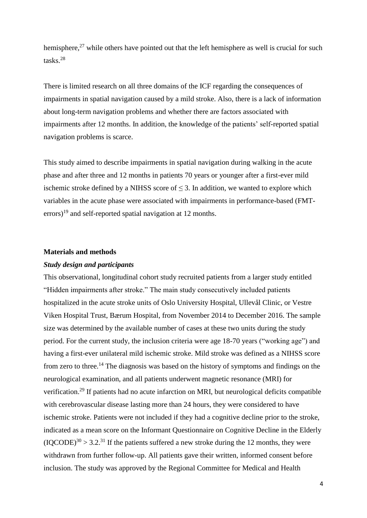hemisphere, $27$  while others have pointed out that the left hemisphere as well is crucial for such tasks.<sup>28</sup>

There is limited research on all three domains of the ICF regarding the consequences of impairments in spatial navigation caused by a mild stroke. Also, there is a lack of information about long-term navigation problems and whether there are factors associated with impairments after 12 months. In addition, the knowledge of the patients' self-reported spatial navigation problems is scarce.

This study aimed to describe impairments in spatial navigation during walking in the acute phase and after three and 12 months in patients 70 years or younger after a first-ever mild ischemic stroke defined by a NIHSS score of  $\leq$  3. In addition, we wanted to explore which variables in the acute phase were associated with impairments in performance-based (FMTerrors)<sup>19</sup> and self-reported spatial navigation at 12 months.

### **Materials and methods**

#### *Study design and participants*

This observational, longitudinal cohort study recruited patients from a larger study entitled "Hidden impairments after stroke." The main study consecutively included patients hospitalized in the acute stroke units of Oslo University Hospital, Ullevål Clinic, or Vestre Viken Hospital Trust, Bærum Hospital, from November 2014 to December 2016. The sample size was determined by the available number of cases at these two units during the study period. For the current study, the inclusion criteria were age 18-70 years ("working age") and having a first-ever unilateral mild ischemic stroke. Mild stroke was defined as a NIHSS score from zero to three.<sup>14</sup> The diagnosis was based on the history of symptoms and findings on the neurological examination, and all patients underwent magnetic resonance (MRI) for verification.<sup>29</sup> If patients had no acute infarction on MRI, but neurological deficits compatible with cerebrovascular disease lasting more than 24 hours, they were considered to have ischemic stroke. Patients were not included if they had a cognitive decline prior to the stroke, indicated as a mean score on the Informant Questionnaire on Cognitive Decline in the Elderly  $(IOCODE)^{30} > 3.2$ <sup>31</sup> If the patients suffered a new stroke during the 12 months, they were withdrawn from further follow-up. All patients gave their written, informed consent before inclusion. The study was approved by the Regional Committee for Medical and Health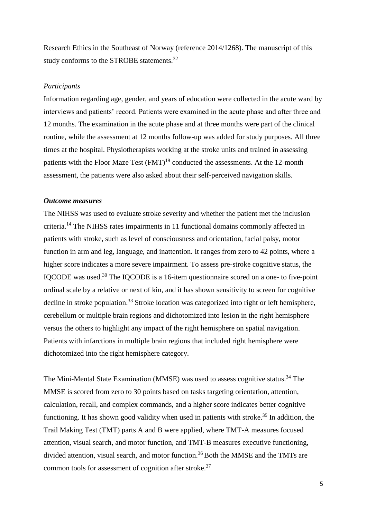Research Ethics in the Southeast of Norway (reference 2014/1268). The manuscript of this study conforms to the STROBE statements.<sup>32</sup>

### *Participants*

Information regarding age, gender, and years of education were collected in the acute ward by interviews and patients' record. Patients were examined in the acute phase and after three and 12 months. The examination in the acute phase and at three months were part of the clinical routine, while the assessment at 12 months follow-up was added for study purposes. All three times at the hospital. Physiotherapists working at the stroke units and trained in assessing patients with the Floor Maze Test  $(FMT)^{19}$  conducted the assessments. At the 12-month assessment, the patients were also asked about their self-perceived navigation skills.

# *Outcome measures*

The NIHSS was used to evaluate stroke severity and whether the patient met the inclusion criteria.<sup>14</sup> The NIHSS rates impairments in 11 functional domains commonly affected in patients with stroke, such as level of consciousness and orientation, facial palsy, motor function in arm and leg, language, and inattention. It ranges from zero to 42 points, where a higher score indicates a more severe impairment. To assess pre-stroke cognitive status, the IQCODE was used.<sup>30</sup> The IQCODE is a 16-item questionnaire scored on a one- to five-point ordinal scale by a relative or next of kin, and it has shown sensitivity to screen for cognitive decline in stroke population.<sup>33</sup> Stroke location was categorized into right or left hemisphere, cerebellum or multiple brain regions and dichotomized into lesion in the right hemisphere versus the others to highlight any impact of the right hemisphere on spatial navigation. Patients with infarctions in multiple brain regions that included right hemisphere were dichotomized into the right hemisphere category.

The Mini-Mental State Examination (MMSE) was used to assess cognitive status.<sup>34</sup> The MMSE is scored from zero to 30 points based on tasks targeting orientation, attention, calculation, recall, and complex commands, and a higher score indicates better cognitive functioning. It has shown good validity when used in patients with stroke.<sup>35</sup> In addition, the Trail Making Test (TMT) parts A and B were applied, where TMT-A measures focused attention, visual search, and motor function, and TMT-B measures executive functioning, divided attention, visual search, and motor function.<sup>36</sup> Both the MMSE and the TMTs are common tools for assessment of cognition after stroke.<sup>37</sup>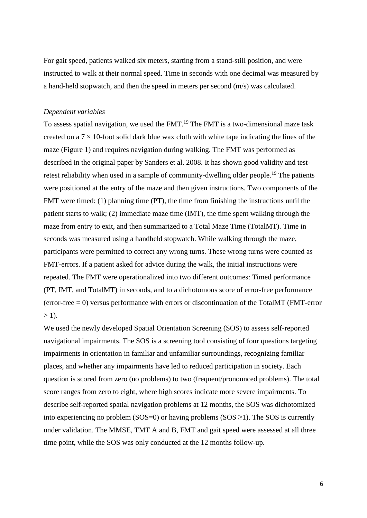For gait speed, patients walked six meters, starting from a stand-still position, and were instructed to walk at their normal speed. Time in seconds with one decimal was measured by a hand-held stopwatch, and then the speed in meters per second (m/s) was calculated.

## *Dependent variables*

To assess spatial navigation, we used the FMT.<sup>19</sup> The FMT is a two-dimensional maze task created on a  $7 \times 10$ -foot solid dark blue wax cloth with white tape indicating the lines of the maze (Figure 1) and requires navigation during walking. The FMT was performed as described in the original paper by Sanders et al. 2008. It has shown good validity and testretest reliability when used in a sample of community-dwelling older people.<sup>19</sup> The patients were positioned at the entry of the maze and then given instructions. Two components of the FMT were timed: (1) planning time (PT), the time from finishing the instructions until the patient starts to walk; (2) immediate maze time (IMT), the time spent walking through the maze from entry to exit, and then summarized to a Total Maze Time (TotalMT). Time in seconds was measured using a handheld stopwatch. While walking through the maze, participants were permitted to correct any wrong turns. These wrong turns were counted as FMT-errors. If a patient asked for advice during the walk, the initial instructions were repeated. The FMT were operationalized into two different outcomes: Timed performance (PT, IMT, and TotalMT) in seconds, and to a dichotomous score of error-free performance (error-free  $= 0$ ) versus performance with errors or discontinuation of the TotalMT (FMT-error  $>$  1).

We used the newly developed Spatial Orientation Screening (SOS) to assess self-reported navigational impairments. The SOS is a screening tool consisting of four questions targeting impairments in orientation in familiar and unfamiliar surroundings, recognizing familiar places, and whether any impairments have led to reduced participation in society. Each question is scored from zero (no problems) to two (frequent/pronounced problems). The total score ranges from zero to eight, where high scores indicate more severe impairments. To describe self-reported spatial navigation problems at 12 months, the SOS was dichotomized into experiencing no problem (SOS=0) or having problems (SOS  $\geq$ 1). The SOS is currently under validation. The MMSE, TMT A and B, FMT and gait speed were assessed at all three time point, while the SOS was only conducted at the 12 months follow-up.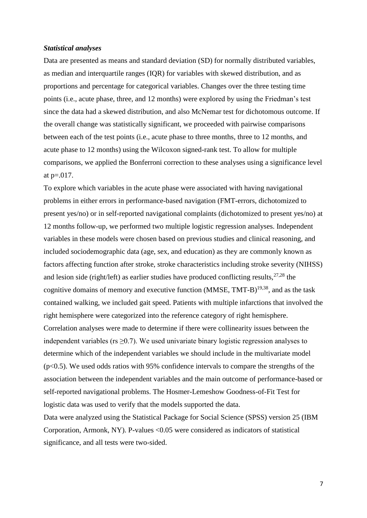#### *Statistical analyses*

Data are presented as means and standard deviation (SD) for normally distributed variables, as median and interquartile ranges (IQR) for variables with skewed distribution, and as proportions and percentage for categorical variables. Changes over the three testing time points (i.e., acute phase, three, and 12 months) were explored by using the Friedman's test since the data had a skewed distribution, and also McNemar test for dichotomous outcome. If the overall change was statistically significant, we proceeded with pairwise comparisons between each of the test points (i.e., acute phase to three months, three to 12 months, and acute phase to 12 months) using the Wilcoxon signed-rank test. To allow for multiple comparisons, we applied the Bonferroni correction to these analyses using a significance level at p=.017.

To explore which variables in the acute phase were associated with having navigational problems in either errors in performance-based navigation (FMT-errors, dichotomized to present yes/no) or in self-reported navigational complaints (dichotomized to present yes/no) at 12 months follow-up, we performed two multiple logistic regression analyses. Independent variables in these models were chosen based on previous studies and clinical reasoning, and included sociodemographic data (age, sex, and education) as they are commonly known as factors affecting function after stroke, stroke characteristics including stroke severity (NIHSS) and lesion side (right/left) as earlier studies have produced conflicting results,  $27,28$  the cognitive domains of memory and executive function  $(MMSE, TMT-B)^{19,38}$ , and as the task contained walking, we included gait speed. Patients with multiple infarctions that involved the right hemisphere were categorized into the reference category of right hemisphere. Correlation analyses were made to determine if there were collinearity issues between the independent variables ( $rs \geq 0.7$ ). We used univariate binary logistic regression analyses to determine which of the independent variables we should include in the multivariate model (p<0.5). We used odds ratios with 95% confidence intervals to compare the strengths of the association between the independent variables and the main outcome of performance-based or self-reported navigational problems. The Hosmer-Lemeshow Goodness-of-Fit Test for logistic data was used to verify that the models supported the data.

Data were analyzed using the Statistical Package for Social Science (SPSS) version 25 (IBM Corporation, Armonk, NY). P-values <0.05 were considered as indicators of statistical significance, and all tests were two-sided.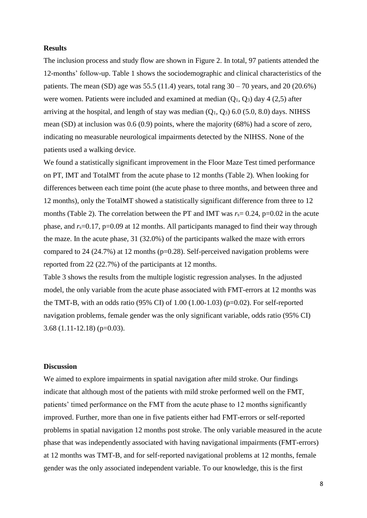# **Results**

The inclusion process and study flow are shown in Figure 2. In total, 97 patients attended the 12-months' follow-up. Table 1 shows the sociodemographic and clinical characteristics of the patients. The mean (SD) age was 55.5 (11.4) years, total rang  $30 - 70$  years, and  $20$  (20.6%) were women. Patients were included and examined at median  $(Q_1, Q_3)$  day 4 (2,5) after arriving at the hospital, and length of stay was median  $(O_1, O_3)$  6.0 (5.0, 8.0) days. NIHSS mean (SD) at inclusion was 0.6 (0.9) points, where the majority (68%) had a score of zero, indicating no measurable neurological impairments detected by the NIHSS. None of the patients used a walking device.

We found a statistically significant improvement in the Floor Maze Test timed performance on PT, IMT and TotalMT from the acute phase to 12 months (Table 2). When looking for differences between each time point (the acute phase to three months, and between three and 12 months), only the TotalMT showed a statistically significant difference from three to 12 months (Table 2). The correlation between the PT and IMT was  $r_s = 0.24$ , p=0.02 in the acute phase, and  $r_s$ =0.17, p=0.09 at 12 months. All participants managed to find their way through the maze. In the acute phase, 31 (32.0%) of the participants walked the maze with errors compared to 24 (24.7%) at 12 months ( $p=0.28$ ). Self-perceived navigation problems were reported from 22 (22.7%) of the participants at 12 months.

Table 3 shows the results from the multiple logistic regression analyses. In the adjusted model, the only variable from the acute phase associated with FMT-errors at 12 months was the TMT-B, with an odds ratio (95% CI) of  $1.00$  (1.00-1.03) (p=0.02). For self-reported navigation problems, female gender was the only significant variable, odds ratio (95% CI)  $3.68$  (1.11-12.18) (p=0.03).

# **Discussion**

We aimed to explore impairments in spatial navigation after mild stroke. Our findings indicate that although most of the patients with mild stroke performed well on the FMT, patients' timed performance on the FMT from the acute phase to 12 months significantly improved. Further, more than one in five patients either had FMT-errors or self-reported problems in spatial navigation 12 months post stroke. The only variable measured in the acute phase that was independently associated with having navigational impairments (FMT-errors) at 12 months was TMT-B, and for self-reported navigational problems at 12 months, female gender was the only associated independent variable. To our knowledge, this is the first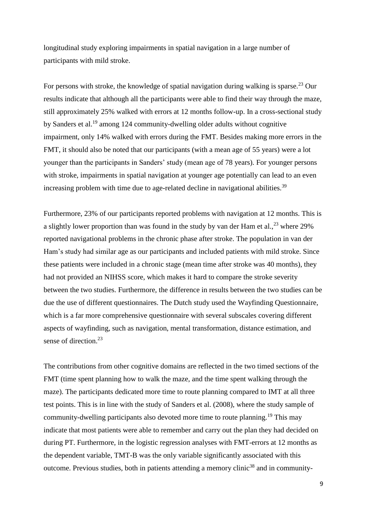longitudinal study exploring impairments in spatial navigation in a large number of participants with mild stroke.

For persons with stroke, the knowledge of spatial navigation during walking is sparse.<sup>23</sup> Our results indicate that although all the participants were able to find their way through the maze, still approximately 25% walked with errors at 12 months follow-up. In a cross-sectional study by Sanders et al.<sup>19</sup> among 124 community-dwelling older adults without cognitive impairment, only 14% walked with errors during the FMT. Besides making more errors in the FMT, it should also be noted that our participants (with a mean age of 55 years) were a lot younger than the participants in Sanders' study (mean age of 78 years). For younger persons with stroke, impairments in spatial navigation at younger age potentially can lead to an even increasing problem with time due to age-related decline in navigational abilities.<sup>39</sup>

Furthermore, 23% of our participants reported problems with navigation at 12 months. This is a slightly lower proportion than was found in the study by van der Ham et al.,  $23$  where 29% reported navigational problems in the chronic phase after stroke. The population in van der Ham's study had similar age as our participants and included patients with mild stroke. Since these patients were included in a chronic stage (mean time after stroke was 40 months), they had not provided an NIHSS score, which makes it hard to compare the stroke severity between the two studies. Furthermore, the difference in results between the two studies can be due the use of different questionnaires. The Dutch study used the Wayfinding Questionnaire, which is a far more comprehensive questionnaire with several subscales covering different aspects of wayfinding, such as navigation, mental transformation, distance estimation, and sense of direction.<sup>23</sup>

The contributions from other cognitive domains are reflected in the two timed sections of the FMT (time spent planning how to walk the maze, and the time spent walking through the maze). The participants dedicated more time to route planning compared to IMT at all three test points. This is in line with the study of Sanders et al. (2008), where the study sample of community-dwelling participants also devoted more time to route planning.<sup>19</sup> This may indicate that most patients were able to remember and carry out the plan they had decided on during PT. Furthermore, in the logistic regression analyses with FMT-errors at 12 months as the dependent variable, TMT-B was the only variable significantly associated with this outcome. Previous studies, both in patients attending a memory clinic<sup>38</sup> and in community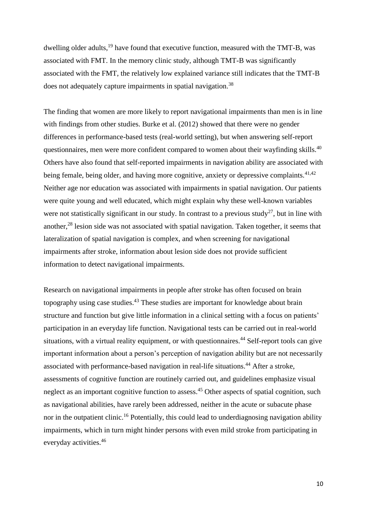dwelling older adults,<sup>19</sup> have found that executive function, measured with the TMT-B, was associated with FMT. In the memory clinic study, although TMT-B was significantly associated with the FMT, the relatively low explained variance still indicates that the TMT-B does not adequately capture impairments in spatial navigation.<sup>38</sup>

The finding that women are more likely to report navigational impairments than men is in line with findings from other studies. Burke et al. (2012) showed that there were no gender differences in performance-based tests (real-world setting), but when answering self-report questionnaires, men were more confident compared to women about their wayfinding skills.<sup>40</sup> Others have also found that self-reported impairments in navigation ability are associated with being female, being older, and having more cognitive, anxiety or depressive complaints.  $41,42$ Neither age nor education was associated with impairments in spatial navigation. Our patients were quite young and well educated, which might explain why these well-known variables were not statistically significant in our study. In contrast to a previous study<sup>27</sup>, but in line with another,<sup>28</sup> lesion side was not associated with spatial navigation. Taken together, it seems that lateralization of spatial navigation is complex, and when screening for navigational impairments after stroke, information about lesion side does not provide sufficient information to detect navigational impairments.

Research on navigational impairments in people after stroke has often focused on brain topography using case studies.<sup>43</sup> These studies are important for knowledge about brain structure and function but give little information in a clinical setting with a focus on patients' participation in an everyday life function. Navigational tests can be carried out in real-world situations, with a virtual reality equipment, or with questionnaires.<sup>44</sup> Self-report tools can give important information about a person's perception of navigation ability but are not necessarily associated with performance-based navigation in real-life situations.<sup>44</sup> After a stroke, assessments of cognitive function are routinely carried out, and guidelines emphasize visual neglect as an important cognitive function to assess.<sup>45</sup> Other aspects of spatial cognition, such as navigational abilities, have rarely been addressed, neither in the acute or subacute phase nor in the outpatient clinic.<sup>16</sup> Potentially, this could lead to underdiagnosing navigation ability impairments, which in turn might hinder persons with even mild stroke from participating in everyday activities.<sup>46</sup>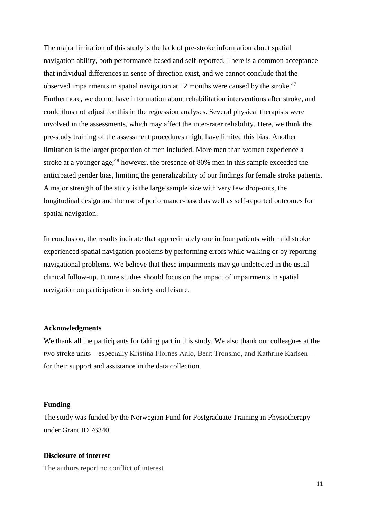The major limitation of this study is the lack of pre-stroke information about spatial navigation ability, both performance-based and self-reported. There is a common acceptance that individual differences in sense of direction exist, and we cannot conclude that the observed impairments in spatial navigation at 12 months were caused by the stroke.<sup>47</sup> Furthermore, we do not have information about rehabilitation interventions after stroke, and could thus not adjust for this in the regression analyses. Several physical therapists were involved in the assessments, which may affect the inter-rater reliability. Here, we think the pre-study training of the assessment procedures might have limited this bias. Another limitation is the larger proportion of men included. More men than women experience a stroke at a younger age;<sup>48</sup> however, the presence of 80% men in this sample exceeded the anticipated gender bias, limiting the generalizability of our findings for female stroke patients. A major strength of the study is the large sample size with very few drop-outs, the longitudinal design and the use of performance-based as well as self-reported outcomes for spatial navigation.

In conclusion, the results indicate that approximately one in four patients with mild stroke experienced spatial navigation problems by performing errors while walking or by reporting navigational problems. We believe that these impairments may go undetected in the usual clinical follow-up. Future studies should focus on the impact of impairments in spatial navigation on participation in society and leisure.

### **Acknowledgments**

We thank all the participants for taking part in this study. We also thank our colleagues at the two stroke units – especially Kristina Flornes Aalo, Berit Tronsmo, and Kathrine Karlsen – for their support and assistance in the data collection.

### **Funding**

The study was funded by the Norwegian Fund for Postgraduate Training in Physiotherapy under Grant ID 76340.

### **Disclosure of interest**

The authors report no conflict of interest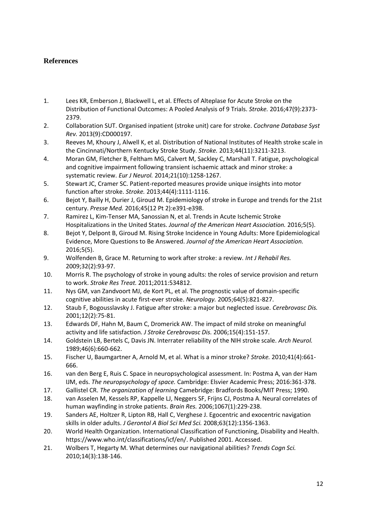# **References**

- 1. Lees KR, Emberson J, Blackwell L, et al. Effects of Alteplase for Acute Stroke on the Distribution of Functional Outcomes: A Pooled Analysis of 9 Trials. *Stroke.* 2016;47(9):2373- 2379.
- 2. Collaboration SUT. Organised inpatient (stroke unit) care for stroke. *Cochrane Database Syst Rev.* 2013(9):CD000197.
- 3. Reeves M, Khoury J, Alwell K, et al. Distribution of National Institutes of Health stroke scale in the Cincinnati/Northern Kentucky Stroke Study. *Stroke.* 2013;44(11):3211-3213.
- 4. Moran GM, Fletcher B, Feltham MG, Calvert M, Sackley C, Marshall T. Fatigue, psychological and cognitive impairment following transient ischaemic attack and minor stroke: a systematic review. *Eur J Neurol.* 2014;21(10):1258-1267.
- 5. Stewart JC, Cramer SC. Patient-reported measures provide unique insights into motor function after stroke. *Stroke.* 2013;44(4):1111-1116.
- 6. Bejot Y, Bailly H, Durier J, Giroud M. Epidemiology of stroke in Europe and trends for the 21st century. *Presse Med.* 2016;45(12 Pt 2):e391-e398.
- 7. Ramirez L, Kim-Tenser MA, Sanossian N, et al. Trends in Acute Ischemic Stroke Hospitalizations in the United States. *Journal of the American Heart Association.* 2016;5(5).
- 8. Bejot Y, Delpont B, Giroud M. Rising Stroke Incidence in Young Adults: More Epidemiological Evidence, More Questions to Be Answered. *Journal of the American Heart Association.*  2016;5(5).
- 9. Wolfenden B, Grace M. Returning to work after stroke: a review. *Int J Rehabil Res.*  2009;32(2):93-97.
- 10. Morris R. The psychology of stroke in young adults: the roles of service provision and return to work. *Stroke Res Treat.* 2011;2011:534812.
- 11. Nys GM, van Zandvoort MJ, de Kort PL, et al. The prognostic value of domain-specific cognitive abilities in acute first-ever stroke. *Neurology.* 2005;64(5):821-827.
- 12. Staub F, Bogousslavsky J. Fatigue after stroke: a major but neglected issue. *Cerebrovasc Dis.*  2001;12(2):75-81.
- 13. Edwards DF, Hahn M, Baum C, Dromerick AW. The impact of mild stroke on meaningful activity and life satisfaction. *J Stroke Cerebrovasc Dis.* 2006;15(4):151-157.
- 14. Goldstein LB, Bertels C, Davis JN. Interrater reliability of the NIH stroke scale. *Arch Neurol.*  1989;46(6):660-662.
- 15. Fischer U, Baumgartner A, Arnold M, et al. What is a minor stroke? *Stroke.* 2010;41(4):661- 666.
- 16. van den Berg E, Ruis C. Space in neuropsychological assessment. In: Postma A, van der Ham IJM, eds. *The neuropsychology of space.* Cambridge: Elsvier Academic Press; 2016:361-378.
- 17. Gallistel CR. *The organization of learning* Camebridge: Bradfords Books/MIT Press; 1990.
- 18. van Asselen M, Kessels RP, Kappelle LJ, Neggers SF, Frijns CJ, Postma A. Neural correlates of human wayfinding in stroke patients. *Brain Res.* 2006;1067(1):229-238.
- 19. Sanders AE, Holtzer R, Lipton RB, Hall C, Verghese J. Egocentric and exocentric navigation skills in older adults. *J Gerontol A Biol Sci Med Sci.* 2008;63(12):1356-1363.
- 20. World Health Organization. International Classification of Functioning, Disability and Health. https://www.who.int/classifications/icf/en/. Published 2001. Accessed.
- 21. Wolbers T, Hegarty M. What determines our navigational abilities? *Trends Cogn Sci.*  2010;14(3):138-146.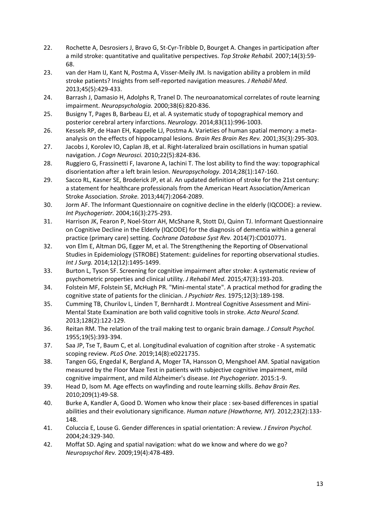- 22. Rochette A, Desrosiers J, Bravo G, St-Cyr-Tribble D, Bourget A. Changes in participation after a mild stroke: quantitative and qualitative perspectives. *Top Stroke Rehabil.* 2007;14(3):59- 68.
- 23. van der Ham IJ, Kant N, Postma A, Visser-Meily JM. Is navigation ability a problem in mild stroke patients? Insights from self-reported navigation measures. *J Rehabil Med.*  2013;45(5):429-433.
- 24. Barrash J, Damasio H, Adolphs R, Tranel D. The neuroanatomical correlates of route learning impairment. *Neuropsychologia.* 2000;38(6):820-836.
- 25. Busigny T, Pages B, Barbeau EJ, et al. A systematic study of topographical memory and posterior cerebral artery infarctions. *Neurology.* 2014;83(11):996-1003.
- 26. Kessels RP, de Haan EH, Kappelle LJ, Postma A. Varieties of human spatial memory: a metaanalysis on the effects of hippocampal lesions. *Brain Res Brain Res Rev.* 2001;35(3):295-303.
- 27. Jacobs J, Korolev IO, Caplan JB, et al. Right-lateralized brain oscillations in human spatial navigation. *J Cogn Neurosci.* 2010;22(5):824-836.
- 28. Ruggiero G, Frassinetti F, Iavarone A, Iachini T. The lost ability to find the way: topographical disorientation after a left brain lesion. *Neuropsychology.* 2014;28(1):147-160.
- 29. Sacco RL, Kasner SE, Broderick JP, et al. An updated definition of stroke for the 21st century: a statement for healthcare professionals from the American Heart Association/American Stroke Association. *Stroke.* 2013;44(7):2064-2089.
- 30. Jorm AF. The Informant Questionnaire on cognitive decline in the elderly (IQCODE): a review. *Int Psychogeriatr.* 2004;16(3):275-293.
- 31. Harrison JK, Fearon P, Noel-Storr AH, McShane R, Stott DJ, Quinn TJ. Informant Questionnaire on Cognitive Decline in the Elderly (IQCODE) for the diagnosis of dementia within a general practice (primary care) setting. *Cochrane Database Syst Rev.* 2014(7):CD010771.
- 32. von Elm E, Altman DG, Egger M, et al. The Strengthening the Reporting of Observational Studies in Epidemiology (STROBE) Statement: guidelines for reporting observational studies. *Int J Surg.* 2014;12(12):1495-1499.
- 33. Burton L, Tyson SF. Screening for cognitive impairment after stroke: A systematic review of psychometric properties and clinical utility. *J Rehabil Med.* 2015;47(3):193-203.
- 34. Folstein MF, Folstein SE, McHugh PR. "Mini-mental state". A practical method for grading the cognitive state of patients for the clinician. *J Psychiatr Res.* 1975;12(3):189-198.
- 35. Cumming TB, Churilov L, Linden T, Bernhardt J. Montreal Cognitive Assessment and Mini-Mental State Examination are both valid cognitive tools in stroke. *Acta Neurol Scand.*  2013;128(2):122-129.
- 36. Reitan RM. The relation of the trail making test to organic brain damage. *J Consult Psychol.*  1955;19(5):393-394.
- 37. Saa JP, Tse T, Baum C, et al. Longitudinal evaluation of cognition after stroke A systematic scoping review. *PLoS One.* 2019;14(8):e0221735.
- 38. Tangen GG, Engedal K, Bergland A, Moger TA, Hansson O, Mengshoel AM. Spatial navigation measured by the Floor Maze Test in patients with subjective cognitive impairment, mild cognitive impairment, and mild Alzheimer's disease. *Int Psychogeriatr.* 2015:1-9.
- 39. Head D, Isom M. Age effects on wayfinding and route learning skills. *Behav Brain Res.*  2010;209(1):49-58.
- 40. Burke A, Kandler A, Good D. Women who know their place : sex-based differences in spatial abilities and their evolutionary significance. *Human nature (Hawthorne, NY).* 2012;23(2):133- 148.
- 41. Coluccia E, Louse G. Gender differences in spatial orientation: A review. *J Environ Psychol.*  2004;24:329-340.
- 42. Moffat SD. Aging and spatial navigation: what do we know and where do we go? *Neuropsychol Rev.* 2009;19(4):478-489.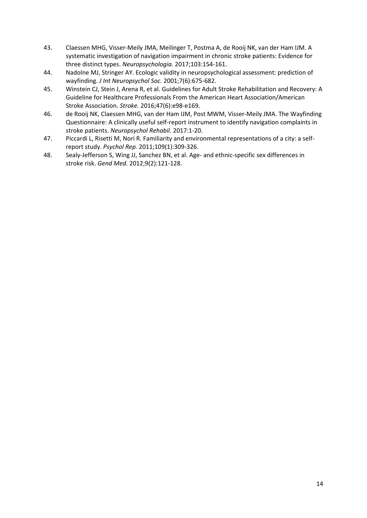- 43. Claessen MHG, Visser-Meily JMA, Meilinger T, Postma A, de Rooij NK, van der Ham IJM. A systematic investigation of navigation impairment in chronic stroke patients: Evidence for three distinct types. *Neuropsychologia.* 2017;103:154-161.
- 44. Nadolne MJ, Stringer AY. Ecologic validity in neuropsychological assessment: prediction of wayfinding. *J Int Neuropsychol Soc.* 2001;7(6):675-682.
- 45. Winstein CJ, Stein J, Arena R, et al. Guidelines for Adult Stroke Rehabilitation and Recovery: A Guideline for Healthcare Professionals From the American Heart Association/American Stroke Association. *Stroke.* 2016;47(6):e98-e169.
- 46. de Rooij NK, Claessen MHG, van der Ham IJM, Post MWM, Visser-Meily JMA. The Wayfinding Questionnaire: A clinically useful self-report instrument to identify navigation complaints in stroke patients. *Neuropsychol Rehabil.* 2017:1-20.
- 47. Piccardi L, Risetti M, Nori R. Familiarity and environmental representations of a city: a selfreport study. *Psychol Rep.* 2011;109(1):309-326.
- 48. Sealy-Jefferson S, Wing JJ, Sanchez BN, et al. Age- and ethnic-specific sex differences in stroke risk. *Gend Med.* 2012;9(2):121-128.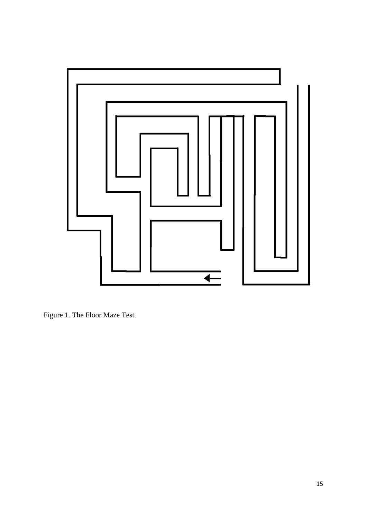

Figure 1. The Floor Maze Test.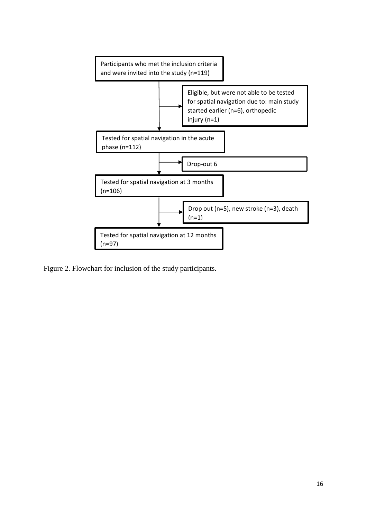

Figure 2. Flowchart for inclusion of the study participants.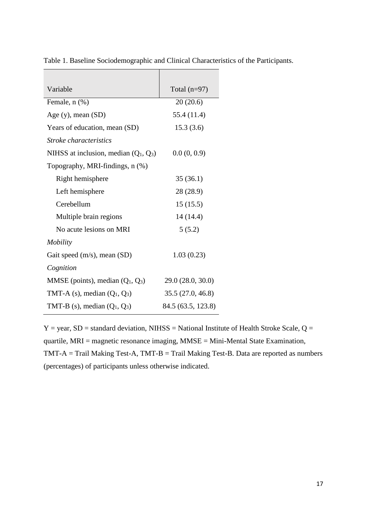| Variable                                | Total $(n=97)$     |  |  |  |  |
|-----------------------------------------|--------------------|--|--|--|--|
| Female, n (%)                           | 20(20.6)           |  |  |  |  |
| Age $(y)$ , mean $(SD)$                 | 55.4 (11.4)        |  |  |  |  |
| Years of education, mean (SD)           | 15.3(3.6)          |  |  |  |  |
| <i>Stroke characteristics</i>           |                    |  |  |  |  |
| NIHSS at inclusion, median $(Q_1, Q_3)$ | 0.0(0, 0.9)        |  |  |  |  |
| Topography, MRI-findings, n (%)         |                    |  |  |  |  |
| Right hemisphere                        | 35(36.1)           |  |  |  |  |
| Left hemisphere                         | 28 (28.9)          |  |  |  |  |
| Cerebellum                              | 15(15.5)           |  |  |  |  |
| Multiple brain regions                  | 14 (14.4)          |  |  |  |  |
| No acute lesions on MRI                 | 5(5.2)             |  |  |  |  |
| <i>Mobility</i>                         |                    |  |  |  |  |
| Gait speed $(m/s)$ , mean $(SD)$        | 1.03(0.23)         |  |  |  |  |
| Cognition                               |                    |  |  |  |  |
| MMSE (points), median $(Q_1, Q_3)$      | 29.0 (28.0, 30.0)  |  |  |  |  |
| TMT-A $(s)$ , median $(Q_1, Q_3)$       | 35.5(27.0, 46.8)   |  |  |  |  |
| TMT-B (s), median $(Q_1, Q_3)$          | 84.5 (63.5, 123.8) |  |  |  |  |

 $\overline{\phantom{0}}$ 

Table 1. Baseline Sociodemographic and Clinical Characteristics of the Participants.

 $Y = year$ ,  $SD = standard deviation$ , NIHSS = National Institute of Health Stroke Scale, Q = quartile, MRI = magnetic resonance imaging, MMSE = Mini-Mental State Examination, TMT-A = Trail Making Test-A, TMT-B = Trail Making Test-B. Data are reported as numbers (percentages) of participants unless otherwise indicated.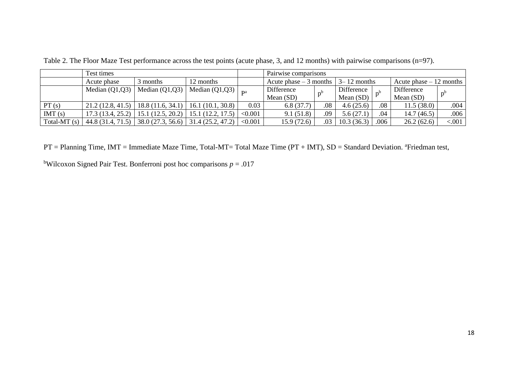|                | Test times        |                  |                  |         | Pairwise comparisons                   |     |             |      |                          |         |  |
|----------------|-------------------|------------------|------------------|---------|----------------------------------------|-----|-------------|------|--------------------------|---------|--|
|                | Acute phase       | 3 months         | 2 months         |         | Acute phase $-3$ months $ 3-12$ months |     |             |      | Acute phase $-12$ months |         |  |
|                | Median $(Q1,Q3)$  | Median $(Q1,Q3)$ | Median $(Q1,Q3)$ |         | Difference                             |     | Difference  |      | Difference               |         |  |
|                |                   |                  |                  |         | Mean $(SD)$                            |     | Mean $(SD)$ |      | Mean (SD)                |         |  |
| PT(s)          | 21.2(12.8, 41.5)  | 18.8(11.6, 34.1) | 16.1(10.1, 30.8) | 0.03    | 6.8(37.7)                              | .08 | 4.6(25.6)   | .08  | 11.5(38.0)               | .004    |  |
| IMT(s)         | 17.3(13.4, 25.2)  | 15.1(12.5, 20.2) | (12.2, 17.5)     | < 0.001 | 9.1(51.8)                              | .09 | 5.6(27.1)   | .04  | 14.7(46.5)               | .006    |  |
| Total-MT $(s)$ | 44.8 (31.4, 71.5) | 38.0(27.3, 56.6) | 31.4(25.2, 47.2) | < 0.001 | 15.9 (72.6)                            | .03 | 10.3(36.3)  | .006 | 26.2(62.6)               | < 0.001 |  |

Table 2. The Floor Maze Test performance across the test points (acute phase, 3, and 12 months) with pairwise comparisons (n=97).

PT = Planning Time, IMT = Immediate Maze Time, Total-MT= Total Maze Time (PT + IMT), SD = Standard Deviation. <sup>a</sup>Friedman test,

<sup>b</sup>Wilcoxon Signed Pair Test. Bonferroni post hoc comparisons  $p = .017$